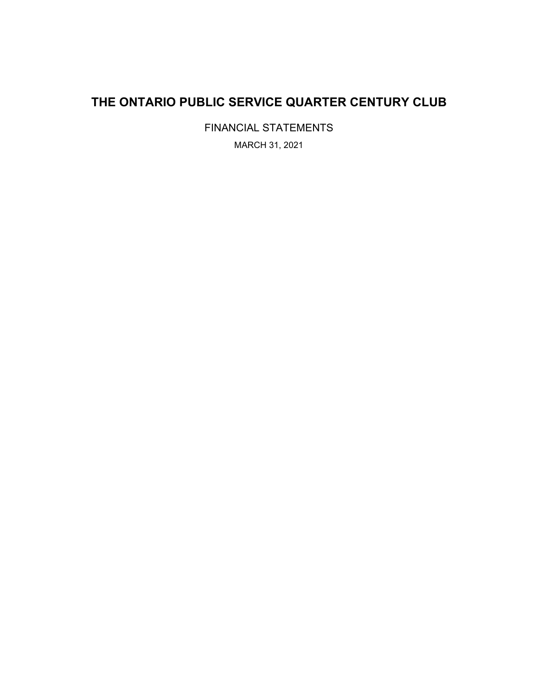## **THE ONTARIO PUBLIC SERVICE QUARTER CENTURY CLUB**

FINANCIAL STATEMENTS MARCH 31, 2021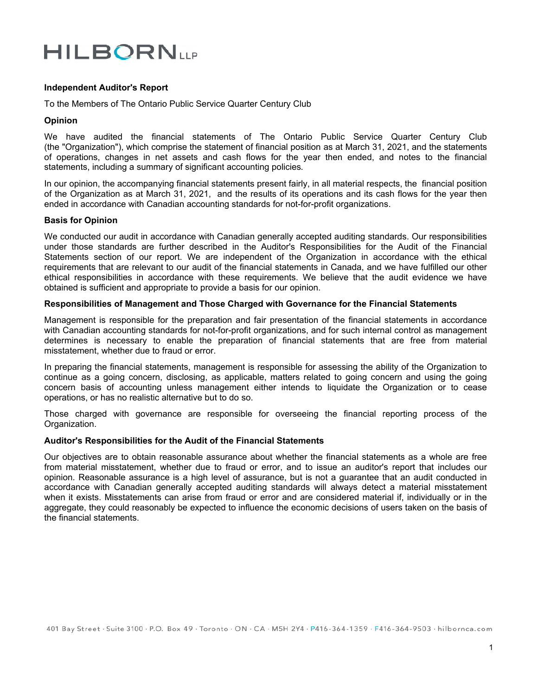# **HILBORNLLP**

## **Independent Auditor's Report**

To the Members of The Ontario Public Service Quarter Century Club

#### **Opinion**

We have audited the financial statements of The Ontario Public Service Quarter Century Club (the "Organization"), which comprise the statement of financial position as at March 31, 2021, and the statements of operations, changes in net assets and cash flows for the year then ended, and notes to the financial statements, including a summary of significant accounting policies*.*

In our opinion, the accompanying financial statements present fairly, in all material respects, the financial position of the Organization as at March 31, 2021, and the results of its operations and its cash flows for the year then ended in accordance with Canadian accounting standards for not-for-profit organizations.

## **Basis for Opinion**

We conducted our audit in accordance with Canadian generally accepted auditing standards. Our responsibilities under those standards are further described in the Auditor's Responsibilities for the Audit of the Financial Statements section of our report. We are independent of the Organization in accordance with the ethical requirements that are relevant to our audit of the financial statements in Canada, and we have fulfilled our other ethical responsibilities in accordance with these requirements. We believe that the audit evidence we have obtained is sufficient and appropriate to provide a basis for our opinion.

#### **Responsibilities of Management and Those Charged with Governance for the Financial Statements**

Management is responsible for the preparation and fair presentation of the financial statements in accordance with Canadian accounting standards for not-for-profit organizations, and for such internal control as management determines is necessary to enable the preparation of financial statements that are free from material misstatement, whether due to fraud or error.

In preparing the financial statements, management is responsible for assessing the ability of the Organization to continue as a going concern, disclosing, as applicable, matters related to going concern and using the going concern basis of accounting unless management either intends to liquidate the Organization or to cease operations, or has no realistic alternative but to do so.

Those charged with governance are responsible for overseeing the financial reporting process of the Organization.

## **Auditor's Responsibilities for the Audit of the Financial Statements**

Our objectives are to obtain reasonable assurance about whether the financial statements as a whole are free from material misstatement, whether due to fraud or error, and to issue an auditor's report that includes our opinion. Reasonable assurance is a high level of assurance, but is not a guarantee that an audit conducted in accordance with Canadian generally accepted auditing standards will always detect a material misstatement when it exists. Misstatements can arise from fraud or error and are considered material if, individually or in the aggregate, they could reasonably be expected to influence the economic decisions of users taken on the basis of the financial statements.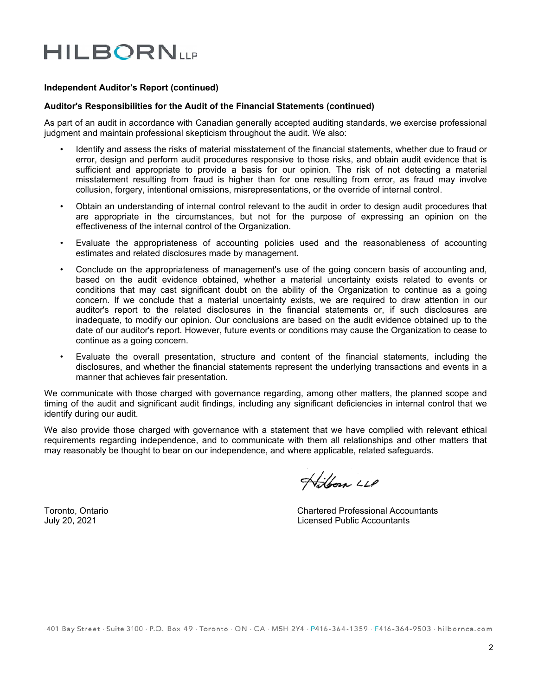# **HILBORNLLP**

## **Independent Auditor's Report (continued)**

## **Auditor's Responsibilities for the Audit of the Financial Statements (continued)**

As part of an audit in accordance with Canadian generally accepted auditing standards, we exercise professional judgment and maintain professional skepticism throughout the audit. We also:

- Identify and assess the risks of material misstatement of the financial statements, whether due to fraud or error, design and perform audit procedures responsive to those risks, and obtain audit evidence that is sufficient and appropriate to provide a basis for our opinion. The risk of not detecting a material misstatement resulting from fraud is higher than for one resulting from error, as fraud may involve collusion, forgery, intentional omissions, misrepresentations, or the override of internal control.
- Obtain an understanding of internal control relevant to the audit in order to design audit procedures that are appropriate in the circumstances, but not for the purpose of expressing an opinion on the effectiveness of the internal control of the Organization.
- Evaluate the appropriateness of accounting policies used and the reasonableness of accounting estimates and related disclosures made by management.
- Conclude on the appropriateness of management's use of the going concern basis of accounting and, based on the audit evidence obtained, whether a material uncertainty exists related to events or conditions that may cast significant doubt on the ability of the Organization to continue as a going concern. If we conclude that a material uncertainty exists, we are required to draw attention in our auditor's report to the related disclosures in the financial statements or, if such disclosures are inadequate, to modify our opinion. Our conclusions are based on the audit evidence obtained up to the date of our auditor's report. However, future events or conditions may cause the Organization to cease to continue as a going concern.
- Evaluate the overall presentation, structure and content of the financial statements, including the disclosures, and whether the financial statements represent the underlying transactions and events in a manner that achieves fair presentation.

We communicate with those charged with governance regarding, among other matters, the planned scope and timing of the audit and significant audit findings, including any significant deficiencies in internal control that we identify during our audit.

We also provide those charged with governance with a statement that we have complied with relevant ethical requirements regarding independence, and to communicate with them all relationships and other matters that may reasonably be thought to bear on our independence, and where applicable, related safeguards.

Hilborn LLP

Toronto, Ontario Chartered Professional Accountants July 20, 2021 Licensed Public Accountants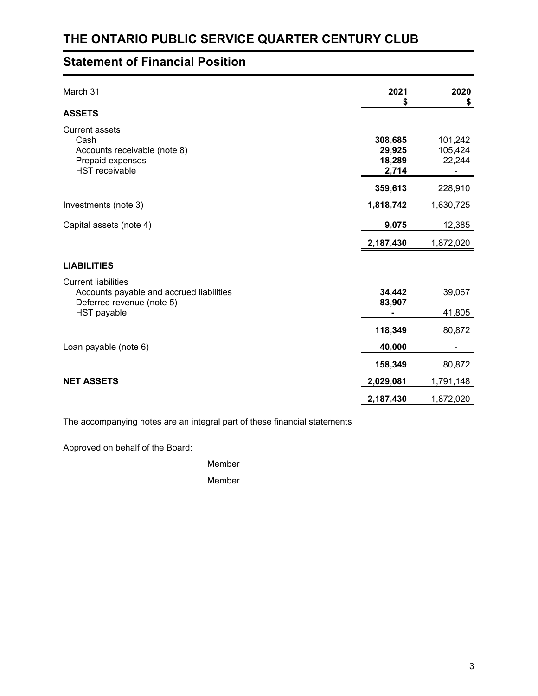## **Statement of Financial Position**

| March 31                                                                                                                  | 2021<br>\$                           | 2020<br>\$                   |
|---------------------------------------------------------------------------------------------------------------------------|--------------------------------------|------------------------------|
| <b>ASSETS</b>                                                                                                             |                                      |                              |
| <b>Current assets</b><br>Cash<br>Accounts receivable (note 8)<br>Prepaid expenses<br><b>HST</b> receivable                | 308,685<br>29,925<br>18,289<br>2,714 | 101,242<br>105,424<br>22,244 |
|                                                                                                                           | 359,613                              | 228,910                      |
| Investments (note 3)                                                                                                      | 1,818,742                            | 1,630,725                    |
| Capital assets (note 4)                                                                                                   | 9,075                                | 12,385                       |
|                                                                                                                           | 2,187,430                            | 1,872,020                    |
| <b>LIABILITIES</b>                                                                                                        |                                      |                              |
| <b>Current liabilities</b><br>Accounts payable and accrued liabilities<br>Deferred revenue (note 5)<br><b>HST</b> payable | 34,442<br>83,907                     | 39,067<br>41,805             |
|                                                                                                                           | 118,349                              | 80,872                       |
| Loan payable (note 6)                                                                                                     | 40,000                               |                              |
|                                                                                                                           | 158,349                              | 80,872                       |
| <b>NET ASSETS</b>                                                                                                         | 2,029,081                            | 1,791,148                    |
|                                                                                                                           | 2,187,430                            | 1,872,020                    |

The accompanying notes are an integral part of these financial statements

Approved on behalf of the Board:

Member

Member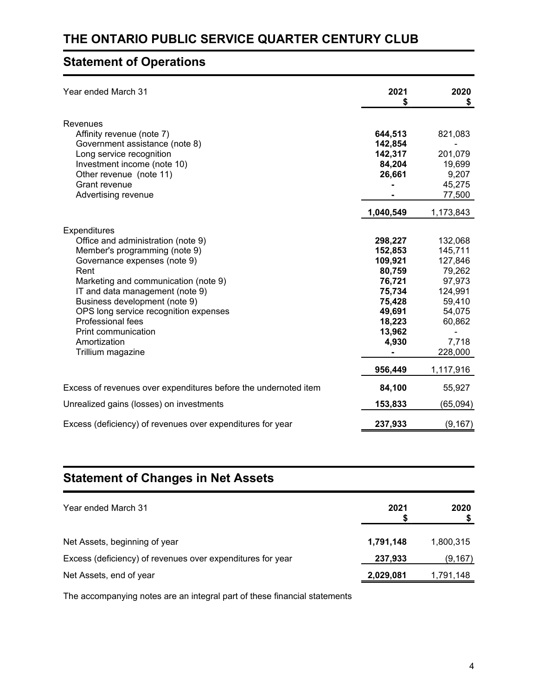## **THE ONTARIO PUBLIC SERVICE QUARTER CENTURY CLUB**

## **Statement of Operations**

| Year ended March 31                                                                                                                                                                                                                                                                                                                                                      | 2021                                                                                                         | 2020<br>\$                                                                                                     |
|--------------------------------------------------------------------------------------------------------------------------------------------------------------------------------------------------------------------------------------------------------------------------------------------------------------------------------------------------------------------------|--------------------------------------------------------------------------------------------------------------|----------------------------------------------------------------------------------------------------------------|
| Revenues<br>Affinity revenue (note 7)<br>Government assistance (note 8)<br>Long service recognition<br>Investment income (note 10)<br>Other revenue (note 11)<br>Grant revenue<br>Advertising revenue                                                                                                                                                                    | 644,513<br>142,854<br>142,317<br>84,204<br>26,661                                                            | 821,083<br>201,079<br>19,699<br>9,207<br>45,275<br>77,500                                                      |
|                                                                                                                                                                                                                                                                                                                                                                          | 1,040,549                                                                                                    | 1,173,843                                                                                                      |
| Expenditures<br>Office and administration (note 9)<br>Member's programming (note 9)<br>Governance expenses (note 9)<br>Rent<br>Marketing and communication (note 9)<br>IT and data management (note 9)<br>Business development (note 9)<br>OPS long service recognition expenses<br><b>Professional fees</b><br>Print communication<br>Amortization<br>Trillium magazine | 298,227<br>152,853<br>109,921<br>80,759<br>76,721<br>75,734<br>75,428<br>49,691<br>18,223<br>13,962<br>4,930 | 132,068<br>145,711<br>127,846<br>79,262<br>97,973<br>124,991<br>59,410<br>54,075<br>60,862<br>7,718<br>228,000 |
|                                                                                                                                                                                                                                                                                                                                                                          | 956,449                                                                                                      | 1,117,916                                                                                                      |
| Excess of revenues over expenditures before the undernoted item                                                                                                                                                                                                                                                                                                          | 84,100                                                                                                       | 55,927                                                                                                         |
| Unrealized gains (losses) on investments                                                                                                                                                                                                                                                                                                                                 | 153,833                                                                                                      | (65,094)                                                                                                       |
| Excess (deficiency) of revenues over expenditures for year                                                                                                                                                                                                                                                                                                               | 237,933                                                                                                      | (9, 167)                                                                                                       |

## **Statement of Changes in Net Assets**

| Year ended March 31                                        | 2021      | 2020      |
|------------------------------------------------------------|-----------|-----------|
| Net Assets, beginning of year                              | 1,791,148 | 1.800.315 |
| Excess (deficiency) of revenues over expenditures for year | 237,933   | (9, 167)  |
| Net Assets, end of year                                    | 2,029,081 | 1,791,148 |

The accompanying notes are an integral part of these financial statements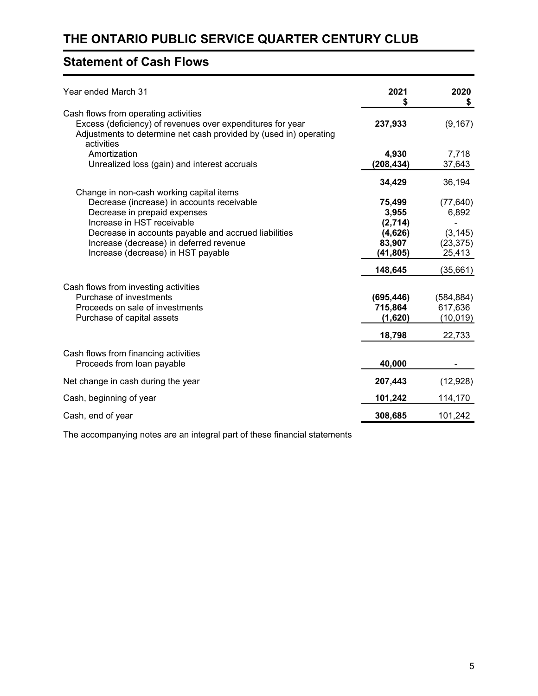## **Statement of Cash Flows**

| Year ended March 31                                                                                                                                                                   | 2021<br>S  | 2020<br>\$ |
|---------------------------------------------------------------------------------------------------------------------------------------------------------------------------------------|------------|------------|
| Cash flows from operating activities<br>Excess (deficiency) of revenues over expenditures for year<br>Adjustments to determine net cash provided by (used in) operating<br>activities | 237,933    | (9, 167)   |
| Amortization                                                                                                                                                                          | 4,930      | 7,718      |
| Unrealized loss (gain) and interest accruals                                                                                                                                          | (208,434)  | 37,643     |
|                                                                                                                                                                                       | 34,429     | 36,194     |
| Change in non-cash working capital items<br>Decrease (increase) in accounts receivable                                                                                                | 75,499     | (77, 640)  |
| Decrease in prepaid expenses                                                                                                                                                          | 3,955      | 6,892      |
| Increase in HST receivable                                                                                                                                                            | (2,714)    |            |
| Decrease in accounts payable and accrued liabilities                                                                                                                                  | (4,626)    | (3, 145)   |
| Increase (decrease) in deferred revenue                                                                                                                                               | 83,907     | (23, 375)  |
| Increase (decrease) in HST payable                                                                                                                                                    | (41, 805)  | 25,413     |
|                                                                                                                                                                                       | 148,645    | (35,661)   |
| Cash flows from investing activities                                                                                                                                                  |            |            |
| Purchase of investments                                                                                                                                                               | (695, 446) | (584, 884) |
| Proceeds on sale of investments                                                                                                                                                       | 715,864    | 617,636    |
| Purchase of capital assets                                                                                                                                                            | (1,620)    | (10, 019)  |
|                                                                                                                                                                                       | 18,798     | 22,733     |
| Cash flows from financing activities<br>Proceeds from loan payable                                                                                                                    | 40,000     |            |
|                                                                                                                                                                                       |            |            |
| Net change in cash during the year                                                                                                                                                    | 207,443    | (12, 928)  |
| Cash, beginning of year                                                                                                                                                               | 101,242    | 114,170    |
| Cash, end of year                                                                                                                                                                     | 308,685    | 101,242    |

The accompanying notes are an integral part of these financial statements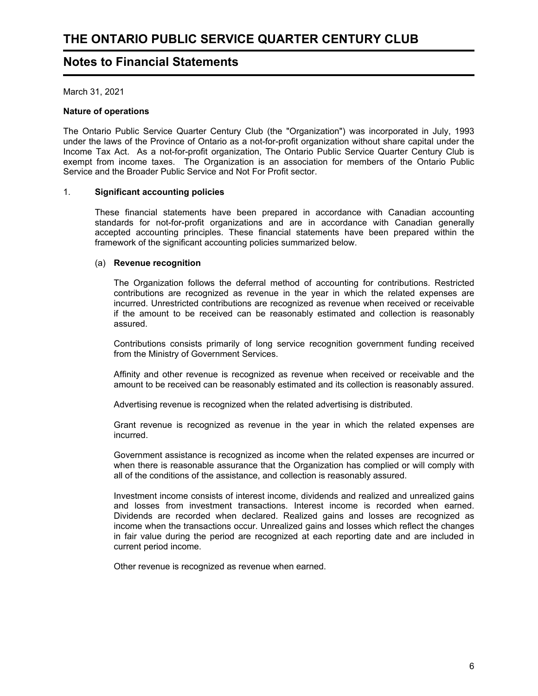## **Notes to Financial Statements**

March 31, 2021

## **Nature of operations**

The Ontario Public Service Quarter Century Club (the "Organization") was incorporated in July, 1993 under the laws of the Province of Ontario as a not-for-profit organization without share capital under the Income Tax Act. As a not-for-profit organization, The Ontario Public Service Quarter Century Club is exempt from income taxes. The Organization is an association for members of the Ontario Public Service and the Broader Public Service and Not For Profit sector.

## 1. **Significant accounting policies**

These financial statements have been prepared in accordance with Canadian accounting standards for not-for-profit organizations and are in accordance with Canadian generally accepted accounting principles. These financial statements have been prepared within the framework of the significant accounting policies summarized below.

## (a) **Revenue recognition**

The Organization follows the deferral method of accounting for contributions. Restricted contributions are recognized as revenue in the year in which the related expenses are incurred. Unrestricted contributions are recognized as revenue when received or receivable if the amount to be received can be reasonably estimated and collection is reasonably assured.

Contributions consists primarily of long service recognition government funding received from the Ministry of Government Services.

Affinity and other revenue is recognized as revenue when received or receivable and the amount to be received can be reasonably estimated and its collection is reasonably assured.

Advertising revenue is recognized when the related advertising is distributed.

Grant revenue is recognized as revenue in the year in which the related expenses are incurred.

Government assistance is recognized as income when the related expenses are incurred or when there is reasonable assurance that the Organization has complied or will comply with all of the conditions of the assistance, and collection is reasonably assured.

Investment income consists of interest income, dividends and realized and unrealized gains and losses from investment transactions. Interest income is recorded when earned. Dividends are recorded when declared. Realized gains and losses are recognized as income when the transactions occur. Unrealized gains and losses which reflect the changes in fair value during the period are recognized at each reporting date and are included in current period income.

Other revenue is recognized as revenue when earned.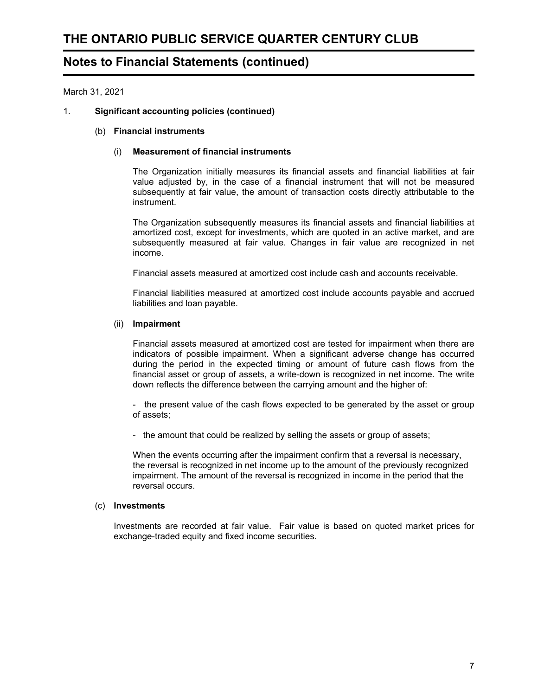March 31, 2021

## 1. **Significant accounting policies (continued)**

## (b) **Financial instruments**

## (i) **Measurement of financial instruments**

The Organization initially measures its financial assets and financial liabilities at fair value adjusted by, in the case of a financial instrument that will not be measured subsequently at fair value, the amount of transaction costs directly attributable to the instrument.

The Organization subsequently measures its financial assets and financial liabilities at amortized cost, except for investments, which are quoted in an active market, and are subsequently measured at fair value. Changes in fair value are recognized in net income.

Financial assets measured at amortized cost include cash and accounts receivable.

Financial liabilities measured at amortized cost include accounts payable and accrued liabilities and loan payable.

## (ii) **Impairment**

Financial assets measured at amortized cost are tested for impairment when there are indicators of possible impairment. When a significant adverse change has occurred during the period in the expected timing or amount of future cash flows from the financial asset or group of assets, a write-down is recognized in net income. The write down reflects the difference between the carrying amount and the higher of:

- the present value of the cash flows expected to be generated by the asset or group of assets;

- the amount that could be realized by selling the assets or group of assets;

When the events occurring after the impairment confirm that a reversal is necessary, the reversal is recognized in net income up to the amount of the previously recognized impairment. The amount of the reversal is recognized in income in the period that the reversal occurs.

## (c) **Investments**

Investments are recorded at fair value. Fair value is based on quoted market prices for exchange-traded equity and fixed income securities.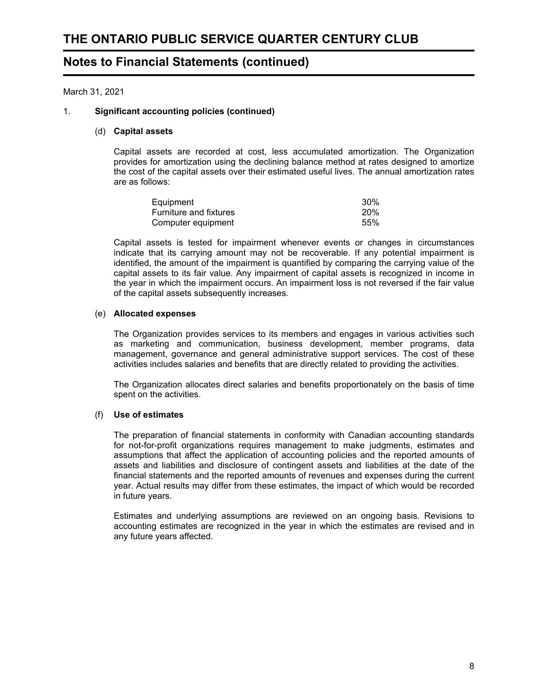March 31, 2021

## 1. **Significant accounting policies (continued)**

#### (d) **Capital assets**

Capital assets are recorded at cost, less accumulated amortization. The Organization provides for amortization using the declining balance method at rates designed to amortize the cost of the capital assets over their estimated useful lives. The annual amortization rates are as follows:

| Equipment                     | 30 <sup>%</sup> |
|-------------------------------|-----------------|
| <b>Furniture and fixtures</b> | 20%             |
| Computer equipment            | 55%             |

Capital assets is tested for impairment whenever events or changes in circumstances indicate that its carrying amount may not be recoverable. If any potential impairment is identified, the amount of the impairment is quantified by comparing the carrying value of the capital assets to its fair value. Any impairment of capital assets is recognized in income in the year in which the impairment occurs. An impairment loss is not reversed if the fair value of the capital assets subsequently increases.

## (e) **Allocated expenses**

The Organization provides services to its members and engages in various activities such as marketing and communication, business development, member programs, data management, governance and general administrative support services. The cost of these activities includes salaries and benefits that are directly related to providing the activities.

The Organization allocates direct salaries and benefits proportionately on the basis of time spent on the activities.

## (f) **Use of estimates**

The preparation of financial statements in conformity with Canadian accounting standards for not-for-profit organizations requires management to make judgments, estimates and assumptions that affect the application of accounting policies and the reported amounts of assets and liabilities and disclosure of contingent assets and liabilities at the date of the financial statements and the reported amounts of revenues and expenses during the current year. Actual results may differ from these estimates, the impact of which would be recorded in future years.

Estimates and underlying assumptions are reviewed on an ongoing basis. Revisions to accounting estimates are recognized in the year in which the estimates are revised and in any future years affected.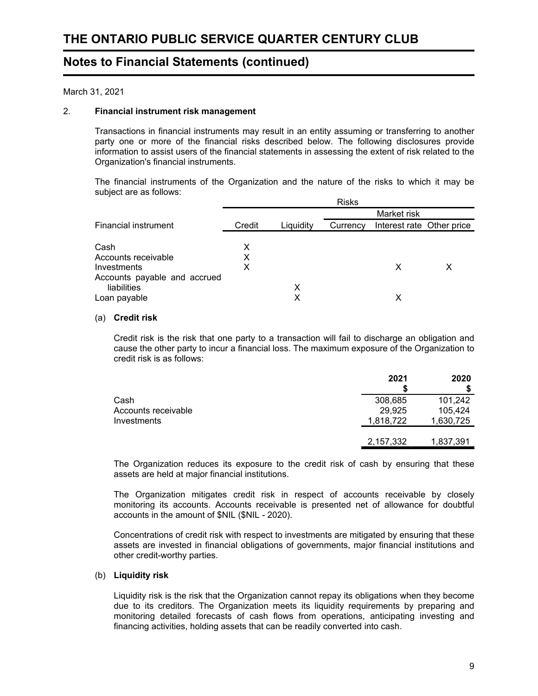March 31, 2021

## 2. **Financial instrument risk management**

Transactions in financial instruments may result in an entity assuming or transferring to another party one or more of the financial risks described below. The following disclosures provide information to assist users of the financial statements in assessing the extent of risk related to the Organization's financial instruments.

The financial instruments of the Organization and the nature of the risks to which it may be subject are as follows:

|                              |        |           | <b>Risks</b> |                           |  |
|------------------------------|--------|-----------|--------------|---------------------------|--|
|                              |        |           |              | Market risk               |  |
| <b>Financial instrument</b>  | Credit | Liquidity | Currency     | Interest rate Other price |  |
|                              |        |           |              |                           |  |
| Cash                         | х      |           |              |                           |  |
| Accounts receivable          | х      |           |              |                           |  |
| Investments                  | x      |           |              | X                         |  |
| Accounts payable and accrued |        |           |              |                           |  |
| liabilities                  |        | х         |              |                           |  |
| Loan payable                 |        | х         |              | х                         |  |

## (a) **Credit risk**

Credit risk is the risk that one party to a transaction will fail to discharge an obligation and cause the other party to incur a financial loss. The maximum exposure of the Organization to credit risk is as follows:

|                     | 2021      | 2020      |
|---------------------|-----------|-----------|
| Cash                | 308,685   | 101,242   |
| Accounts receivable | 29,925    | 105,424   |
| Investments         | 1,818,722 | 1,630,725 |
|                     |           |           |
|                     | 2,157,332 | 1,837,391 |

The Organization reduces its exposure to the credit risk of cash by ensuring that these assets are held at major financial institutions.

The Organization mitigates credit risk in respect of accounts receivable by closely monitoring its accounts. Accounts receivable is presented net of allowance for doubtful accounts in the amount of \$NIL (\$NIL - 2020).

Concentrations of credit risk with respect to investments are mitigated by ensuring that these assets are invested in financial obligations of governments, major financial institutions and other credit-worthy parties.

## (b) **Liquidity risk**

Liquidity risk is the risk that the Organization cannot repay its obligations when they become due to its creditors. The Organization meets its liquidity requirements by preparing and monitoring detailed forecasts of cash flows from operations, anticipating investing and financing activities, holding assets that can be readily converted into cash.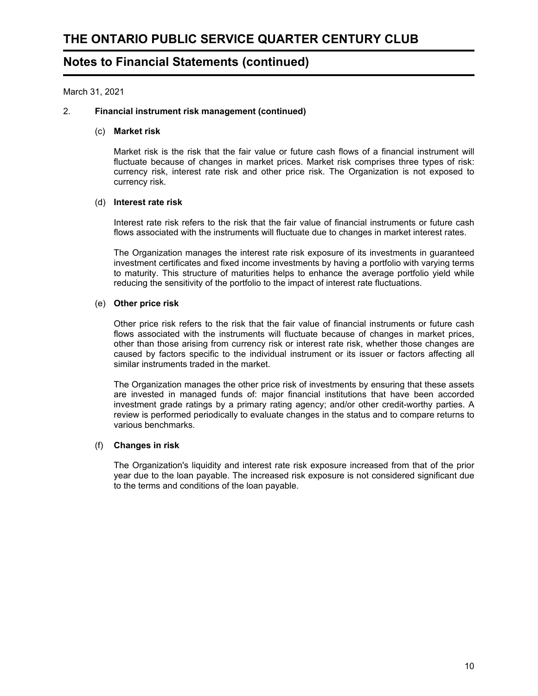March 31, 2021

## 2. **Financial instrument risk management (continued)**

#### (c) **Market risk**

Market risk is the risk that the fair value or future cash flows of a financial instrument will fluctuate because of changes in market prices. Market risk comprises three types of risk: currency risk, interest rate risk and other price risk. The Organization is not exposed to currency risk.

## (d) **Interest rate risk**

Interest rate risk refers to the risk that the fair value of financial instruments or future cash flows associated with the instruments will fluctuate due to changes in market interest rates.

The Organization manages the interest rate risk exposure of its investments in guaranteed investment certificates and fixed income investments by having a portfolio with varying terms to maturity. This structure of maturities helps to enhance the average portfolio yield while reducing the sensitivity of the portfolio to the impact of interest rate fluctuations.

## (e) **Other price risk**

Other price risk refers to the risk that the fair value of financial instruments or future cash flows associated with the instruments will fluctuate because of changes in market prices, other than those arising from currency risk or interest rate risk, whether those changes are caused by factors specific to the individual instrument or its issuer or factors affecting all similar instruments traded in the market.

The Organization manages the other price risk of investments by ensuring that these assets are invested in managed funds of: major financial institutions that have been accorded investment grade ratings by a primary rating agency; and/or other credit-worthy parties. A review is performed periodically to evaluate changes in the status and to compare returns to various benchmarks.

## (f) **Changes in risk**

The Organization's liquidity and interest rate risk exposure increased from that of the prior year due to the loan payable. The increased risk exposure is not considered significant due to the terms and conditions of the loan payable.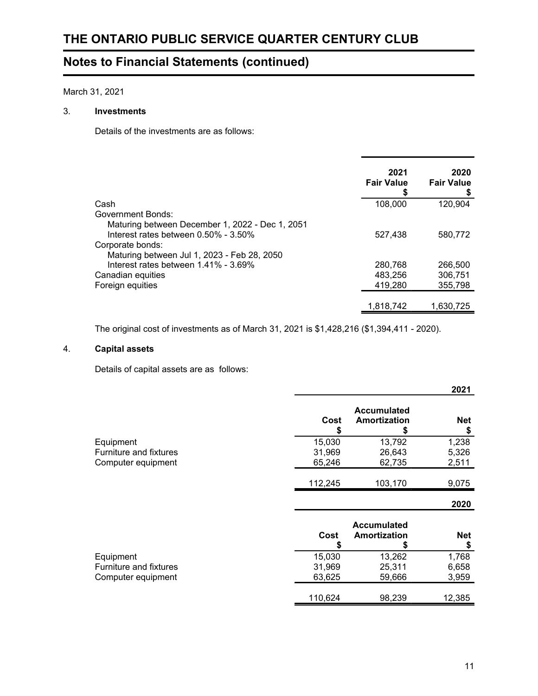March 31, 2021

## 3. **Investments**

Details of the investments are as follows:

|                                                 | 2021<br><b>Fair Value</b> | 2020<br><b>Fair Value</b> |
|-------------------------------------------------|---------------------------|---------------------------|
| Cash                                            | 108,000                   | 120.904                   |
| <b>Government Bonds:</b>                        |                           |                           |
| Maturing between December 1, 2022 - Dec 1, 2051 |                           |                           |
| Interest rates between $0.50\%$ - $3.50\%$      | 527.438                   | 580.772                   |
| Corporate bonds:                                |                           |                           |
| Maturing between Jul 1, 2023 - Feb 28, 2050     |                           |                           |
| Interest rates between $1.41\%$ - $3.69\%$      | 280,768                   | 266,500                   |
| Canadian equities                               | 483,256                   | 306,751                   |
| Foreign equities                                | 419,280                   | 355.798                   |
|                                                 |                           |                           |
|                                                 | 1,818,742                 | 1.630.725                 |

The original cost of investments as of March 31, 2021 is \$1,428,216 (\$1,394,411 - 2020).

## 4. **Capital assets**

Details of capital assets are as follows:

|                               |            |                                         | 2021             |
|-------------------------------|------------|-----------------------------------------|------------------|
|                               | Cost<br>\$ | <b>Accumulated</b><br>Amortization<br>5 | <b>Net</b><br>\$ |
| Equipment                     | 15,030     | 13,792                                  | 1,238            |
| <b>Furniture and fixtures</b> | 31,969     | 26,643                                  | 5,326            |
| Computer equipment            | 65,246     | 62,735                                  | 2,511            |
|                               | 112,245    | 103,170                                 | 9,075            |
|                               |            |                                         | 2020             |
|                               | Cost<br>\$ | <b>Accumulated</b><br>Amortization<br>S | <b>Net</b><br>\$ |
| Equipment                     | 15,030     | 13,262                                  | 1,768            |
| <b>Furniture and fixtures</b> | 31,969     | 25,311                                  | 6,658            |
| Computer equipment            | 63,625     | 59,666                                  | 3,959            |
|                               | 110,624    | 98,239                                  | 12,385           |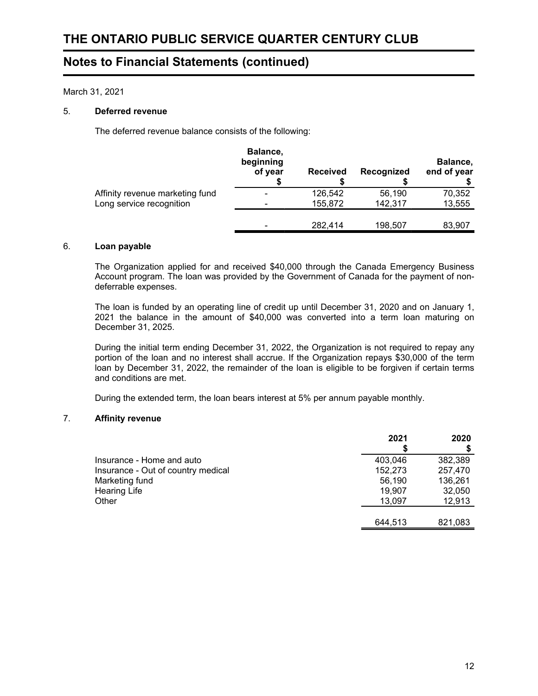March 31, 2021

## 5. **Deferred revenue**

The deferred revenue balance consists of the following:

|                                 | Balance,<br>beginning<br>of year | <b>Received</b> | Recognized | Balance,<br>end of year |
|---------------------------------|----------------------------------|-----------------|------------|-------------------------|
| Affinity revenue marketing fund |                                  | 126,542         | 56,190     | 70,352                  |
| Long service recognition        |                                  | 155,872         | 142,317    | 13,555                  |
|                                 |                                  | 282,414         | 198,507    | 83,907                  |

## 6. **Loan payable**

The Organization applied for and received \$40,000 through the Canada Emergency Business Account program. The loan was provided by the Government of Canada for the payment of nondeferrable expenses.

The loan is funded by an operating line of credit up until December 31, 2020 and on January 1, 2021 the balance in the amount of \$40,000 was converted into a term loan maturing on December 31, 2025.

During the initial term ending December 31, 2022, the Organization is not required to repay any portion of the loan and no interest shall accrue. If the Organization repays \$30,000 of the term loan by December 31, 2022, the remainder of the loan is eligible to be forgiven if certain terms and conditions are met.

During the extended term, the loan bears interest at 5% per annum payable monthly.

## 7. **Affinity revenue**

|                                    | 2021    | 2020    |
|------------------------------------|---------|---------|
|                                    |         |         |
| Insurance - Home and auto          | 403,046 | 382,389 |
| Insurance - Out of country medical | 152,273 | 257,470 |
| Marketing fund                     | 56,190  | 136,261 |
| <b>Hearing Life</b>                | 19,907  | 32,050  |
| Other                              | 13,097  | 12,913  |
|                                    |         |         |
|                                    | 644,513 | 821,083 |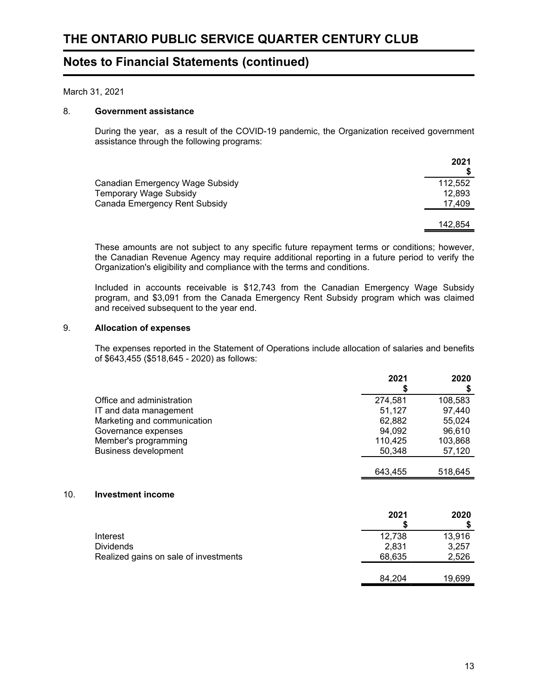March 31, 2021

## 8. **Government assistance**

During the year, as a result of the COVID-19 pandemic, the Organization received government assistance through the following programs:

| 2021    |
|---------|
| 112,552 |
| 12,893  |
| 17,409  |
|         |
| 142.854 |
|         |

These amounts are not subject to any specific future repayment terms or conditions; however, the Canadian Revenue Agency may require additional reporting in a future period to verify the Organization's eligibility and compliance with the terms and conditions.

Included in accounts receivable is \$12,743 from the Canadian Emergency Wage Subsidy program, and \$3,091 from the Canada Emergency Rent Subsidy program which was claimed and received subsequent to the year end.

#### 9. **Allocation of expenses**

 $10.$ 

The expenses reported in the Statement of Operations include allocation of salaries and benefits of \$643,455 (\$518,645 - 2020) as follows:

|                                       | 2021<br>S | 2020<br>\$ |
|---------------------------------------|-----------|------------|
| Office and administration             | 274,581   | 108,583    |
| IT and data management                | 51,127    | 97,440     |
| Marketing and communication           | 62,882    | 55,024     |
| Governance expenses                   | 94,092    | 96,610     |
| Member's programming                  | 110,425   | 103,868    |
| <b>Business development</b>           | 50,348    | 57,120     |
|                                       |           |            |
|                                       | 643,455   | 518,645    |
| Investment income                     |           |            |
|                                       | 2021      | 2020       |
|                                       | S         | \$         |
| Interest                              | 12,738    | 13,916     |
| <b>Dividends</b>                      | 2,831     | 3,257      |
| Realized gains on sale of investments | 68,635    | 2,526      |
|                                       |           |            |
|                                       | 84.204    | 19,699     |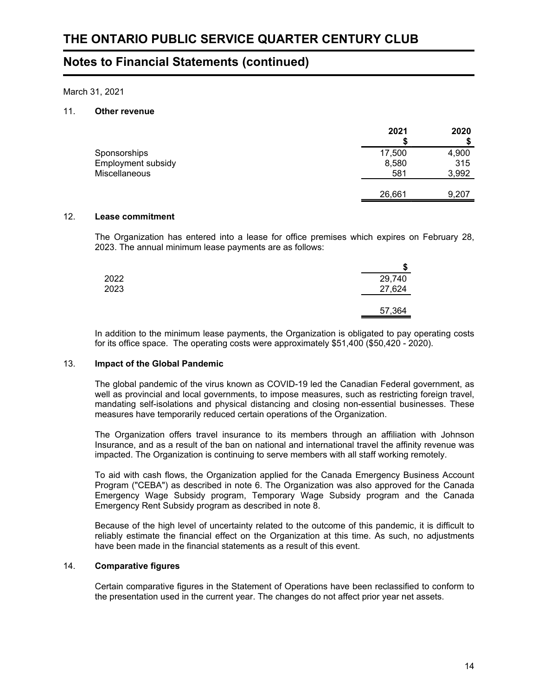March 31, 2021

## 11. **Other revenue**

|                    | 2021   | 2020  |
|--------------------|--------|-------|
| Sponsorships       | 17,500 | 4,900 |
| Employment subsidy | 8,580  | 315   |
| Miscellaneous      | 581    | 3,992 |
|                    |        |       |
|                    | 26,661 | 9,207 |

## 12. **Lease commitment**

The Organization has entered into a lease for office premises which expires on February 28, 2023. The annual minimum lease payments are as follows:

|      | w      |
|------|--------|
| 2022 | 29,740 |
| 2023 | 27,624 |
|      |        |
|      | 57,364 |

In addition to the minimum lease payments, the Organization is obligated to pay operating costs for its office space. The operating costs were approximately \$51,400 (\$50,420 - 2020).

## 13. **Impact of the Global Pandemic**

The global pandemic of the virus known as COVID-19 led the Canadian Federal government, as well as provincial and local governments, to impose measures, such as restricting foreign travel, mandating self-isolations and physical distancing and closing non-essential businesses. These measures have temporarily reduced certain operations of the Organization.

The Organization offers travel insurance to its members through an affiliation with Johnson Insurance, and as a result of the ban on national and international travel the affinity revenue was impacted. The Organization is continuing to serve members with all staff working remotely.

To aid with cash flows, the Organization applied for the Canada Emergency Business Account Program ("CEBA") as described in note 6. The Organization was also approved for the Canada Emergency Wage Subsidy program, Temporary Wage Subsidy program and the Canada Emergency Rent Subsidy program as described in note 8.

Because of the high level of uncertainty related to the outcome of this pandemic, it is difficult to reliably estimate the financial effect on the Organization at this time. As such, no adjustments have been made in the financial statements as a result of this event.

## 14. **Comparative figures**

Certain comparative figures in the Statement of Operations have been reclassified to conform to the presentation used in the current year. The changes do not affect prior year net assets.